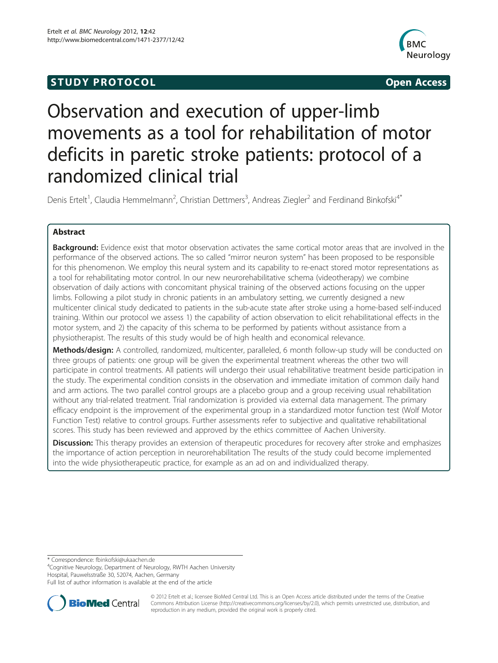## **STUDY PROTOCOL** And the set of the set of the set of the set of the set of the set of the set of the set of the set of the set of the set of the set of the set of the set of the set of the set of the set of the set of the



# Observation and execution of upper-limb movements as a tool for rehabilitation of motor deficits in paretic stroke patients: protocol of a randomized clinical trial

Denis Ertelt<sup>1</sup>, Claudia Hemmelmann<sup>2</sup>, Christian Dettmers<sup>3</sup>, Andreas Ziegler<sup>2</sup> and Ferdinand Binkofski<sup>4\*</sup>

## Abstract

**Background:** Evidence exist that motor observation activates the same cortical motor areas that are involved in the performance of the observed actions. The so called "mirror neuron system" has been proposed to be responsible for this phenomenon. We employ this neural system and its capability to re-enact stored motor representations as a tool for rehabilitating motor control. In our new neurorehabilitative schema (videotherapy) we combine observation of daily actions with concomitant physical training of the observed actions focusing on the upper limbs. Following a pilot study in chronic patients in an ambulatory setting, we currently designed a new multicenter clinical study dedicated to patients in the sub-acute state after stroke using a home-based self-induced training. Within our protocol we assess 1) the capability of action observation to elicit rehabilitational effects in the motor system, and 2) the capacity of this schema to be performed by patients without assistance from a physiotherapist. The results of this study would be of high health and economical relevance.

Methods/design: A controlled, randomized, multicenter, paralleled, 6 month follow-up study will be conducted on three groups of patients: one group will be given the experimental treatment whereas the other two will participate in control treatments. All patients will undergo their usual rehabilitative treatment beside participation in the study. The experimental condition consists in the observation and immediate imitation of common daily hand and arm actions. The two parallel control groups are a placebo group and a group receiving usual rehabilitation without any trial-related treatment. Trial randomization is provided via external data management. The primary efficacy endpoint is the improvement of the experimental group in a standardized motor function test (Wolf Motor Function Test) relative to control groups. Further assessments refer to subjective and qualitative rehabilitational scores. This study has been reviewed and approved by the ethics committee of Aachen University.

Discussion: This therapy provides an extension of therapeutic procedures for recovery after stroke and emphasizes the importance of action perception in neurorehabilitation The results of the study could become implemented into the wide physiotherapeutic practice, for example as an ad on and individualized therapy.

\* Correspondence: [fbinkofski@ukaachen.de](mailto:fbinkofski@ukaachen.de) <sup>4</sup>

<sup>4</sup>Cognitive Neurology, Department of Neurology, RWTH Aachen University

Hospital, Pauwelsstraße 30, 52074, Aachen, Germany

Full list of author information is available at the end of the article



© 2012 Ertelt et al.; licensee BioMed Central Ltd. This is an Open Access article distributed under the terms of the Creative Commons Attribution License [\(http://creativecommons.org/licenses/by/2.0\)](http://creativecommons.org/licenses/by/2.0), which permits unrestricted use, distribution, and reproduction in any medium, provided the original work is properly cited.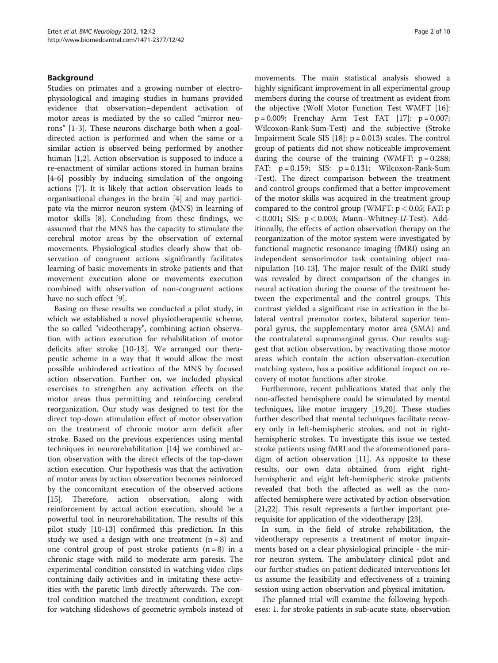## Background

Studies on primates and a growing number of electrophysiological and imaging studies in humans provided evidence that observation–dependent activation of motor areas is mediated by the so called "mirror neurons" [\[1-3](#page-8-0)]. These neurons discharge both when a goaldirected action is performed and when the same or a similar action is observed being performed by another human [[1,2\]](#page-8-0). Action observation is supposed to induce a re-enactment of similar actions stored in human brains [[4-6](#page-8-0)] possibly by inducing simulation of the ongoing actions [\[7](#page-8-0)]. It is likely that action observation leads to organisational changes in the brain [[4\]](#page-8-0) and may participate via the mirror neuron system (MNS) in learning of motor skills [[8\]](#page-8-0). Concluding from these findings, we assumed that the MNS has the capacity to stimulate the cerebral motor areas by the observation of external movements. Physiological studies clearly show that observation of congruent actions significantly facilitates learning of basic movements in stroke patients and that movement execution alone or movements execution combined with observation of non-congruent actions have no such effect [[9\]](#page-8-0).

Basing on these results we conducted a pilot study, in which we established a novel physiotherapeutic scheme, the so called "videotherapy", combining action observation with action execution for rehabilitation of motor deficits after stroke [[10-13](#page-8-0)]. We arranged our therapeutic scheme in a way that it would allow the most possible unhindered activation of the MNS by focused action observation. Further on, we included physical exercises to strengthen any activation effects on the motor areas thus permitting and reinforcing cerebral reorganization. Our study was designed to test for the direct top-down stimulation effect of motor observation on the treatment of chronic motor arm deficit after stroke. Based on the previous experiences using mental techniques in neurorehabilitation [[14\]](#page-8-0) we combined action observation with the direct effects of the top-down action execution. Our hypothesis was that the activation of motor areas by action observation becomes reinforced by the concomitant execution of the observed actions [[15\]](#page-8-0). Therefore, action observation, along with reinforcement by actual action execution, should be a powerful tool in neurorehabilitation. The results of this pilot study [[10-13\]](#page-8-0) confirmed this prediction. In this study we used a design with one treatment  $(n = 8)$  and one control group of post stroke patients  $(n = 8)$  in a chronic stage with mild to moderate arm paresis. The experimental condition consisted in watching video clips containing daily activities and in imitating these activities with the paretic limb directly afterwards. The control condition matched the treatment condition, except for watching slideshows of geometric symbols instead of

movements. The main statistical analysis showed a highly significant improvement in all experimental group members during the course of treatment as evident from the objective (Wolf Motor Function Test WMFT [\[16](#page-8-0)]:  $p = 0.009$ ; Frenchay Arm Test FAT [\[17](#page-8-0)]:  $p = 0.007$ ; Wilcoxon-Rank-Sum-Test) and the subjective (Stroke Impairment Scale SIS  $[18]$ :  $p = 0.013$ ) scales. The control group of patients did not show noticeable improvement during the course of the training (WMFT:  $p = 0.288$ ; FAT: p = 0.159; SIS: p = 0.131; Wilcoxon-Rank-Sum -Test). The direct comparison between the treatment and control groups confirmed that a better improvement of the motor skills was acquired in the treatment group compared to the control group (WMFT:  $p < 0.05$ ; FAT: p  $< 0.001$ ; SIS:  $p < 0.003$ ; Mann–Whitney-*U*-Test). Additionally, the effects of action observation therapy on the reorganization of the motor system were investigated by functional magnetic resonance imaging (fMRI) using an independent sensorimotor task containing object manipulation [[10-13\]](#page-8-0). The major result of the fMRI study was revealed by direct comparison of the changes in neural activation during the course of the treatment between the experimental and the control groups. This contrast yielded a significant rise in activation in the bilateral ventral premotor cortex, bilateral superior temporal gyrus, the supplementary motor area (SMA) and the contralateral supramarginal gyrus. Our results suggest that action observation, by reactivating those motor areas which contain the action observation-execution matching system, has a positive additional impact on recovery of motor functions after stroke.

Furthermore, recent publications stated that only the non-affected hemisphere could be stimulated by mental techniques, like motor imagery [\[19,20\]](#page-8-0). These studies further described that mental techniques facilitate recovery only in left-hemispheric strokes, and not in righthemispheric strokes. To investigate this issue we tested stroke patients using fMRI and the aforementioned paradigm of action observation [[11\]](#page-8-0). As opposite to these results, our own data obtained from eight righthemispheric and eight left-hemispheric stroke patients revealed that both the affected as well as the nonaffected hemisphere were activated by action observation [[21,22\]](#page-8-0). This result represents a further important prerequisite for application of the videotherapy [[23](#page-8-0)].

In sum, in the field of stroke rehabilitation, the videotherapy represents a treatment of motor impairments based on a clear physiological principle - the mirror neuron system. The ambulatory clinical pilot and our further studies on patient dedicated interventions let us assume the feasibility and effectiveness of a training session using action observation and physical imitation.

The planned trial will examine the following hypotheses: 1. for stroke patients in sub-acute state, observation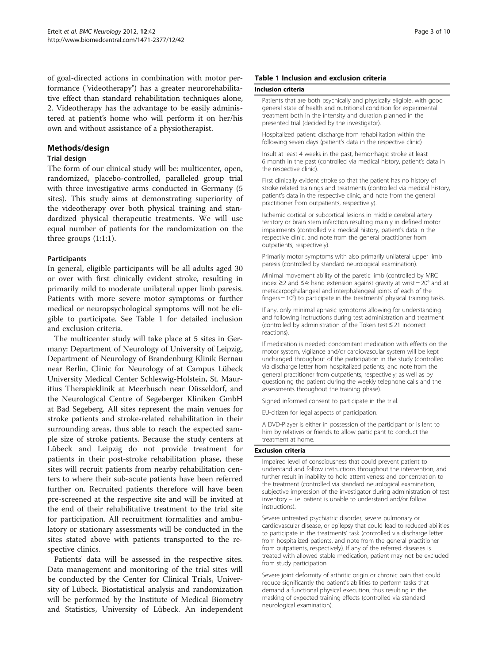of goal-directed actions in combination with motor performance ("videotherapy") has a greater neurorehabilitative effect than standard rehabilitation techniques alone, 2. Videotherapy has the advantage to be easily administered at patient's home who will perform it on her/his own and without assistance of a physiotherapist.

## Methods/design

## Trial design

The form of our clinical study will be: multicenter, open, randomized, placebo-controlled, paralleled group trial with three investigative arms conducted in Germany (5 sites). This study aims at demonstrating superiority of the videotherapy over both physical training and standardized physical therapeutic treatments. We will use equal number of patients for the randomization on the three groups (1:1:1).

## **Participants**

In general, eligible participants will be all adults aged 30 or over with first clinically evident stroke, resulting in primarily mild to moderate unilateral upper limb paresis. Patients with more severe motor symptoms or further medical or neuropsychological symptoms will not be eligible to participate. See Table 1 for detailed inclusion and exclusion criteria.

The multicenter study will take place at 5 sites in Germany: Department of Neurology of University of Leipzig, Department of Neurology of Brandenburg Klinik Bernau near Berlin, Clinic for Neurology of at Campus Lübeck University Medical Center Schleswig-Holstein, St. Mauritius Therapieklinik at Meerbusch near Düsseldorf, and the Neurological Centre of Segeberger Kliniken GmbH at Bad Segeberg. All sites represent the main venues for stroke patients and stroke-related rehabilitation in their surrounding areas, thus able to reach the expected sample size of stroke patients. Because the study centers at Lübeck and Leipzig do not provide treatment for patients in their post-stroke rehabilitation phase, these sites will recruit patients from nearby rehabilitation centers to where their sub-acute patients have been referred further on. Recruited patients therefore will have been pre-screened at the respective site and will be invited at the end of their rehabilitative treatment to the trial site for participation. All recruitment formalities and ambulatory or stationary assessments will be conducted in the sites stated above with patients transported to the respective clinics.

Patients' data will be assessed in the respective sites. Data management and monitoring of the trial sites will be conducted by the Center for Clinical Trials, University of Lübeck. Biostatistical analysis and randomization will be performed by the Institute of Medical Biometry and Statistics, University of Lübeck. An independent

## Table 1 Inclusion and exclusion criteria

## Inclusion criteria

Patients that are both psychically and physically eligible, with good general state of health and nutritional condition for experimental treatment both in the intensity and duration planned in the presented trial (decided by the investigator).

Hospitalized patient: discharge from rehabilitation within the following seven days (patient's data in the respective clinic)

Insult at least 4 weeks in the past, hemorrhagic stroke at least 6 month in the past (controlled via medical history, patient's data in the respective clinic).

First clinically evident stroke so that the patient has no history of stroke related trainings and treatments (controlled via medical history, patient's data in the respective clinic, and note from the general practitioner from outpatients, respectively).

Ischemic cortical or subcortical lesions in middle cerebral artery territory or brain stem infarction resulting mainly in defined motor impairments (controlled via medical history, patient's data in the respective clinic, and note from the general practitioner from outpatients, respectively).

Primarily motor symptoms with also primarily unilateral upper limb paresis (controlled by standard neurological examination).

Minimal movement ability of the paretic limb (controlled by MRC index  $≥$ ? and  $≤$ 4: hand extension against gravity at wrist =  $20^{\circ}$  and at metacarpophalangeal and interphalangeal joints of each of the fingers = 10°) to participate in the treatments' physical training tasks.

If any, only minimal aphasic symptoms allowing for understanding and following instructions during test administration and treatment (controlled by administration of the Token test ≤21 incorrect reactions).

If medication is needed: concomitant medication with effects on the motor system, vigilance and/or cardiovascular system will be kept unchanged throughout of the participation in the study (controlled via discharge letter from hospitalized patients, and note from the general practitioner from outpatients, respectively; as well as by questioning the patient during the weekly telephone calls and the assessments throughout the training phase).

Signed informed consent to participate in the trial.

EU-citizen for legal aspects of participation.

A DVD-Player is either in possession of the participant or is lent to him by relatives or friends to allow participant to conduct the treatment at home.

## Exclusion criteria

Impaired level of consciousness that could prevent patient to understand and follow instructions throughout the intervention, and further result in inability to hold attentiveness and concentration to the treatment (controlled via standard neurological examination, subjective impression of the investigator during administration of test inventory – i.e. patient is unable to understand and/or follow instructions).

Severe untreated psychiatric disorder, severe pulmonary or cardiovascular disease, or epilepsy that could lead to reduced abilities to participate in the treatments' task (controlled via discharge letter from hospitalized patients, and note from the general practitioner from outpatients, respectively). If any of the referred diseases is treated with allowed stable medication, patient may not be excluded from study participation.

Severe joint deformity of arthritic origin or chronic pain that could reduce significantly the patient's abilities to perform tasks that demand a functional physical execution, thus resulting in the masking of expected training effects (controlled via standard neurological examination).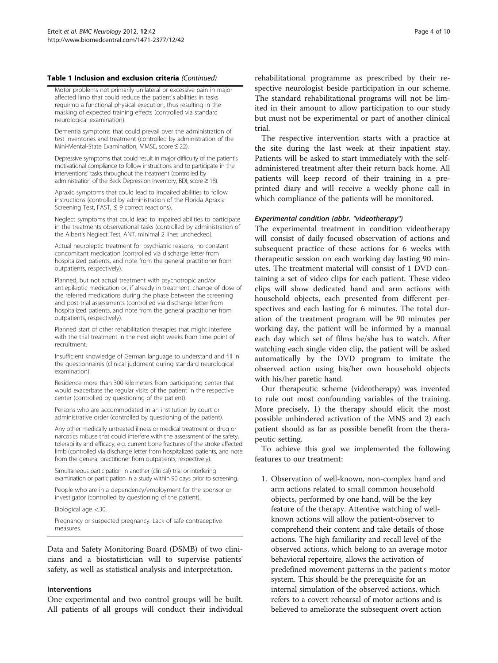#### Table 1 Inclusion and exclusion criteria (Continued)

Motor problems not primarily unilateral or excessive pain in major affected limb that could reduce the patient's abilities in tasks requiring a functional physical execution, thus resulting in the masking of expected training effects (controlled via standard neurological examination).

Dementia symptoms that could prevail over the administration of test inventories and treatment (controlled by administration of the Mini-Mental-State Examination, MMSE, score≤ 22).

Depressive symptoms that could result in major difficulty of the patient's motivational compliance to follow instructions and to participate in the interventions' tasks throughout the treatment (controlled by administration of the Beck Depression Inventory, BDI, score≥18).

Apraxic symptoms that could lead to impaired abilities to follow instructions (controlled by administration of the Florida Apraxia Screening Test, FAST,  $\leq$  9 correct reactions).

Neglect symptoms that could lead to impaired abilities to participate in the treatments observational tasks (controlled by administration of the Albert's Neglect Test, ANT, minimal 2 lines unchecked).

Actual neuroleptic treatment for psychiatric reasons; no constant concomitant medication (controlled via discharge letter from hospitalized patients, and note from the general practitioner from outpatients, respectively).

Planned, but not actual treatment with psychotropic and/or antiepileptic medication or, if already in treatment, change of dose of the referred medications during the phase between the screening and post-trial assessments (controlled via discharge letter from hospitalized patients, and note from the general practitioner from outpatients, respectively).

Planned start of other rehabilitation therapies that might interfere with the trial treatment in the next eight weeks from time point of recruitment.

Insufficient knowledge of German language to understand and fill in the questionnaires (clinical judgment during standard neurological examination).

Residence more than 300 kilometers from participating center that would exacerbate the regular visits of the patient in the respective center (controlled by questioning of the patient).

Persons who are accommodated in an institution by court or administrative order (controlled by questioning of the patient).

Any other medically untreated illness or medical treatment or drug or narcotics misuse that could interfere with the assessment of the safety, tolerability and efficacy, e.g. current bone fractures of the stroke affected limb (controlled via discharge letter from hospitalized patients, and note from the general practitioner from outpatients, respectively).

Simultaneous participation in another (clinical) trial or interfering examination or participation in a study within 90 days prior to screening.

People who are in a dependency/employment for the sponsor or investigator (controlled by questioning of the patient).

Biological age <30.

Pregnancy or suspected pregnancy. Lack of safe contraceptive measures.

Data and Safety Monitoring Board (DSMB) of two clinicians and a biostatistician will to supervise patients' safety, as well as statistical analysis and interpretation.

#### Interventions

One experimental and two control groups will be built. All patients of all groups will conduct their individual

rehabilitational programme as prescribed by their respective neurologist beside participation in our scheme. The standard rehabilitational programs will not be limited in their amount to allow participation to our study but must not be experimental or part of another clinical trial.

The respective intervention starts with a practice at the site during the last week at their inpatient stay. Patients will be asked to start immediately with the selfadministered treatment after their return back home. All patients will keep record of their training in a preprinted diary and will receive a weekly phone call in which compliance of the patients will be monitored.

## Experimental condition (abbr. "videotherapy")

The experimental treatment in condition videotherapy will consist of daily focused observation of actions and subsequent practice of these actions for 6 weeks with therapeutic session on each working day lasting 90 minutes. The treatment material will consist of 1 DVD containing a set of video clips for each patient. These video clips will show dedicated hand and arm actions with household objects, each presented from different perspectives and each lasting for 6 minutes. The total duration of the treatment program will be 90 minutes per working day, the patient will be informed by a manual each day which set of films he/she has to watch. After watching each single video clip, the patient will be asked automatically by the DVD program to imitate the observed action using his/her own household objects with his/her paretic hand.

Our therapeutic scheme (videotherapy) was invented to rule out most confounding variables of the training. More precisely, 1) the therapy should elicit the most possible unhindered activation of the MNS and 2) each patient should as far as possible benefit from the therapeutic setting.

To achieve this goal we implemented the following features to our treatment:

1. Observation of well-known, non-complex hand and arm actions related to small common household objects, performed by one hand, will be the key feature of the therapy. Attentive watching of wellknown actions will allow the patient-observer to comprehend their content and take details of those actions. The high familiarity and recall level of the observed actions, which belong to an average motor behavioral repertoire, allows the activation of predefined movement patterns in the patient's motor system. This should be the prerequisite for an internal simulation of the observed actions, which refers to a covert rehearsal of motor actions and is believed to ameliorate the subsequent overt action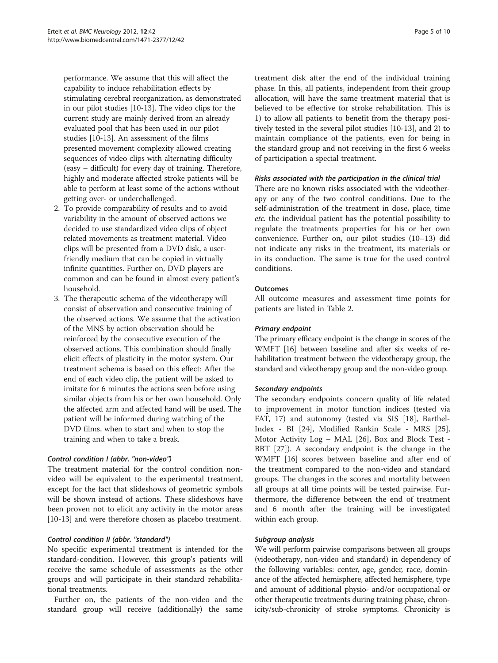performance. We assume that this will affect the capability to induce rehabilitation effects by stimulating cerebral reorganization, as demonstrated in our pilot studies [[10-13\]](#page-8-0). The video clips for the current study are mainly derived from an already evaluated pool that has been used in our pilot studies [\[10-13\]](#page-8-0). An assessment of the films' presented movement complexity allowed creating sequences of video clips with alternating difficulty (easy – difficult) for every day of training. Therefore, highly and moderate affected stroke patients will be able to perform at least some of the actions without getting over- or underchallenged.

- 2. To provide comparability of results and to avoid variability in the amount of observed actions we decided to use standardized video clips of object related movements as treatment material. Video clips will be presented from a DVD disk, a userfriendly medium that can be copied in virtually infinite quantities. Further on, DVD players are common and can be found in almost every patient's household.
- 3. The therapeutic schema of the videotherapy will consist of observation and consecutive training of the observed actions. We assume that the activation of the MNS by action observation should be reinforced by the consecutive execution of the observed actions. This combination should finally elicit effects of plasticity in the motor system. Our treatment schema is based on this effect: After the end of each video clip, the patient will be asked to imitate for 6 minutes the actions seen before using similar objects from his or her own household. Only the affected arm and affected hand will be used. The patient will be informed during watching of the DVD films, when to start and when to stop the training and when to take a break.

## Control condition I (abbr. "non-video")

The treatment material for the control condition nonvideo will be equivalent to the experimental treatment, except for the fact that slideshows of geometric symbols will be shown instead of actions. These slideshows have been proven not to elicit any activity in the motor areas [[10-13](#page-8-0)] and were therefore chosen as placebo treatment.

## Control condition II (abbr. "standard")

No specific experimental treatment is intended for the standard-condition. However, this group's patients will receive the same schedule of assessments as the other groups and will participate in their standard rehabilitational treatments.

Further on, the patients of the non-video and the standard group will receive (additionally) the same treatment disk after the end of the individual training phase. In this, all patients, independent from their group allocation, will have the same treatment material that is believed to be effective for stroke rehabilitation. This is 1) to allow all patients to benefit from the therapy positively tested in the several pilot studies [[10-13](#page-8-0)], and 2) to maintain compliance of the patients, even for being in the standard group and not receiving in the first 6 weeks of participation a special treatment.

## Risks associated with the participation in the clinical trial

There are no known risks associated with the videotherapy or any of the two control conditions. Due to the self-administration of the treatment in dose, place, time etc. the individual patient has the potential possibility to regulate the treatments properties for his or her own convenience. Further on, our pilot studies (10–13) did not indicate any risks in the treatment, its materials or in its conduction. The same is true for the used control conditions.

## **Outcomes**

All outcome measures and assessment time points for patients are listed in Table [2.](#page-5-0)

## Primary endpoint

The primary efficacy endpoint is the change in scores of the WMFT [\[16\]](#page-8-0) between baseline and after six weeks of rehabilitation treatment between the videotherapy group, the standard and videotherapy group and the non-video group.

## Secondary endpoints

The secondary endpoints concern quality of life related to improvement in motor function indices (tested via FAT, 17) and autonomy (tested via SIS [\[18\]](#page-8-0), Barthel-Index - BI [[24](#page-8-0)], Modified Rankin Scale - MRS [\[25](#page-8-0)], Motor Activity Log – MAL [[26\]](#page-8-0), Box and Block Test - BBT [[27](#page-8-0)]). A secondary endpoint is the change in the WMFT [[16](#page-8-0)] scores between baseline and after end of the treatment compared to the non-video and standard groups. The changes in the scores and mortality between all groups at all time points will be tested pairwise. Furthermore, the difference between the end of treatment and 6 month after the training will be investigated within each group.

## Subgroup analysis

We will perform pairwise comparisons between all groups (videotherapy, non-video and standard) in dependency of the following variables: center, age, gender, race, dominance of the affected hemisphere, affected hemisphere, type and amount of additional physio- and/or occupational or other therapeutic treatments during training phase, chronicity/sub-chronicity of stroke symptoms. Chronicity is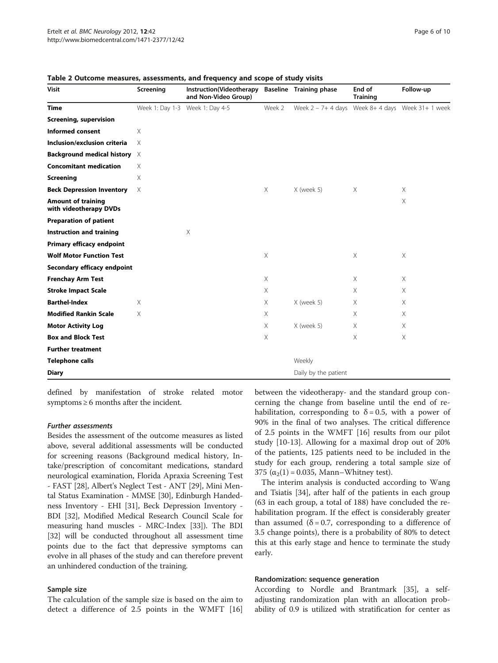| Visit                                               | Screening | Instruction(Videotherapy Baseline Training phase<br>and Non-Video Group) |          |                                                   | End of<br><b>Training</b> | Follow-up |
|-----------------------------------------------------|-----------|--------------------------------------------------------------------------|----------|---------------------------------------------------|---------------------------|-----------|
| <b>Time</b>                                         |           | Week 1: Day 1-3 Week 1: Day 4-5                                          | Week 2   | Week 2 - 7+ 4 days Week 8+ 4 days Week 31+ 1 week |                           |           |
| <b>Screening, supervision</b>                       |           |                                                                          |          |                                                   |                           |           |
| <b>Informed consent</b>                             | X         |                                                                          |          |                                                   |                           |           |
| Inclusion/exclusion criteria                        | X         |                                                                          |          |                                                   |                           |           |
| <b>Background medical history</b>                   | $\times$  |                                                                          |          |                                                   |                           |           |
| <b>Concomitant medication</b>                       | X         |                                                                          |          |                                                   |                           |           |
| <b>Screening</b>                                    | X         |                                                                          |          |                                                   |                           |           |
| <b>Beck Depression Inventory</b>                    | X         |                                                                          | X        | X (week 5)                                        | Χ                         | Χ         |
| <b>Amount of training</b><br>with videotherapy DVDs |           |                                                                          |          |                                                   |                           | $\times$  |
| <b>Preparation of patient</b>                       |           |                                                                          |          |                                                   |                           |           |
| Instruction and training                            |           | $\times$                                                                 |          |                                                   |                           |           |
| <b>Primary efficacy endpoint</b>                    |           |                                                                          |          |                                                   |                           |           |
| <b>Wolf Motor Function Test</b>                     |           |                                                                          | X        |                                                   | X                         | $\times$  |
| Secondary efficacy endpoint                         |           |                                                                          |          |                                                   |                           |           |
| <b>Frenchay Arm Test</b>                            |           |                                                                          | $\times$ |                                                   | $\times$                  | $\times$  |
| <b>Stroke Impact Scale</b>                          |           |                                                                          | $\times$ |                                                   | $\times$                  | $\times$  |
| <b>Barthel-Index</b>                                | $\times$  |                                                                          | $\times$ | X (week 5)                                        | $\times$                  | $\times$  |
| <b>Modified Rankin Scale</b>                        | X         |                                                                          | X        |                                                   | X                         | X         |
| <b>Motor Activity Log</b>                           |           |                                                                          | X        | X (week 5)                                        | X                         | X         |
| <b>Box and Block Test</b>                           |           |                                                                          | X        |                                                   | $\times$                  | $\times$  |
| <b>Further treatment</b>                            |           |                                                                          |          |                                                   |                           |           |
| <b>Telephone calls</b>                              |           |                                                                          |          | Weekly                                            |                           |           |
| <b>Diary</b>                                        |           |                                                                          |          | Daily by the patient                              |                           |           |

<span id="page-5-0"></span>

defined by manifestation of stroke related motor symptoms  $\geq 6$  months after the incident.

#### Further assessments

Besides the assessment of the outcome measures as listed above, several additional assessments will be conducted for screening reasons (Background medical history, Intake/prescription of concomitant medications, standard neurological examination, Florida Apraxia Screening Test - FAST [[28](#page-9-0)], Albert's Neglect Test - ANT [[29](#page-9-0)], Mini Mental Status Examination - MMSE [\[30\]](#page-9-0), Edinburgh Handedness Inventory - EHI [\[31](#page-9-0)], Beck Depression Inventory - BDI [\[32](#page-9-0)], Modified Medical Research Council Scale for measuring hand muscles - MRC-Index [\[33](#page-9-0)]). The BDI [[32](#page-9-0)] will be conducted throughout all assessment time points due to the fact that depressive symptoms can evolve in all phases of the study and can therefore prevent an unhindered conduction of the training.

#### Sample size

The calculation of the sample size is based on the aim to detect a difference of 2.5 points in the WMFT [[16](#page-8-0)]

between the videotherapy- and the standard group concerning the change from baseline until the end of rehabilitation, corresponding to  $\delta = 0.5$ , with a power of 90% in the final of two analyses. The critical difference of 2.5 points in the WMFT [[16](#page-8-0)] results from our pilot study [[10](#page-8-0)-[13\]](#page-8-0). Allowing for a maximal drop out of 20% of the patients, 125 patients need to be included in the study for each group, rendering a total sample size of 375  $(\alpha_2(1) = 0.035$ , Mann–Whitney test).

The interim analysis is conducted according to Wang and Tsiatis [\[34](#page-9-0)], after half of the patients in each group (63 in each group, a total of 188) have concluded the rehabilitation program. If the effect is considerably greater than assumed ( $\delta = 0.7$ , corresponding to a difference of 3.5 change points), there is a probability of 80% to detect this at this early stage and hence to terminate the study early.

#### Randomization: sequence generation

According to Nordle and Brantmark [[35\]](#page-9-0), a selfadjusting randomization plan with an allocation probability of 0.9 is utilized with stratification for center as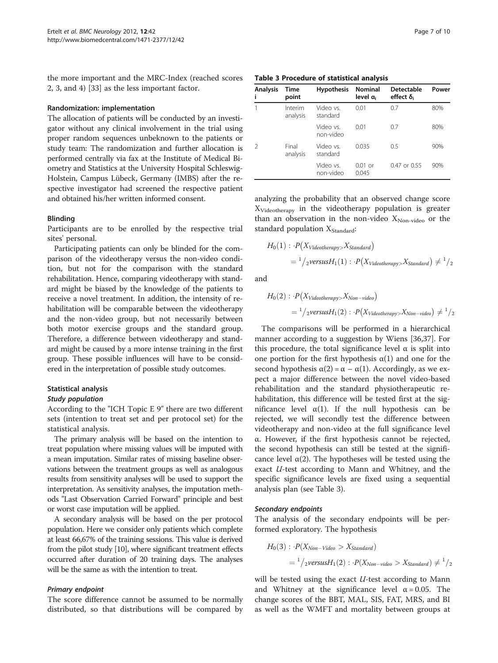<span id="page-6-0"></span>the more important and the MRC-Index (reached scores 2, 3, and 4) [[33\]](#page-9-0) as the less important factor.

#### Randomization: implementation

The allocation of patients will be conducted by an investigator without any clinical involvement in the trial using proper random sequences unbeknown to the patients or study team: The randomization and further allocation is performed centrally via fax at the Institute of Medical Biometry and Statistics at the University Hospital Schleswig-Holstein, Campus Lübeck, Germany (IMBS) after the respective investigator had screened the respective patient and obtained his/her written informed consent.

#### Blinding

Participants are to be enrolled by the respective trial sites' personal.

Participating patients can only be blinded for the comparison of the videotherapy versus the non-video condition, but not for the comparison with the standard rehabilitation. Hence, comparing videotherapy with standard might be biased by the knowledge of the patients to receive a novel treatment. In addition, the intensity of rehabilitation will be comparable between the videotherapy and the non-video group, but not necessarily between both motor exercise groups and the standard group. Therefore, a difference between videotherapy and standard might be caused by a more intense training in the first group. These possible influences will have to be considered in the interpretation of possible study outcomes.

## Statistical analysis

#### Study population

According to the "ICH Topic E 9" there are two different sets (intention to treat set and per protocol set) for the statistical analysis.

The primary analysis will be based on the intention to treat population where missing values will be imputed with a mean imputation. Similar rates of missing baseline observations between the treatment groups as well as analogous results from sensitivity analyses will be used to support the interpretation. As sensitivity analyses, the imputation methods "Last Observation Carried Forward" principle and best or worst case imputation will be applied.

A secondary analysis will be based on the per protocol population. Here we consider only patients which complete at least 66,67% of the training sessions. This value is derived from the pilot study [\[10](#page-8-0)], where significant treatment effects occurred after duration of 20 training days. The analyses will be the same as with the intention to treat.

#### Primary endpoint

The score difference cannot be assumed to be normally distributed, so that distributions will be compared by

| <b>Analysis</b><br>i | Time<br>point       | <b>Hypothesis</b>      | <b>Nominal</b><br>level $\alpha_i$ | <b>Detectable</b><br>effect $δ_i$ | Power |
|----------------------|---------------------|------------------------|------------------------------------|-----------------------------------|-------|
| 1                    | Interim<br>analysis | Video vs<br>standard   | 0.01                               | 0.7                               | 80%   |
|                      |                     | Video vs.<br>non-video | 0.01                               | 0.7                               | 80%   |
| $\mathcal{P}$        | Final<br>analysis   | Video vs.<br>standard  | 0.035                              | 0.5                               | 90%   |
|                      |                     | Video vs.<br>non-video | $0.01$ or<br>0.045                 | $0.47$ or $0.55$                  | 90%   |

analyzing the probability that an observed change score XVideotherapy in the videotherapy population is greater than an observation in the non-video  $X_{Non-video}$  or the standard population X<sub>Standard</sub>:

$$
H_0(1) : P(X_{Video therapy>}X_{Standard})
$$
  
=  $\frac{1}{2} \text{versus} H_1(1) : P(X_{Video therapy}>X_{Standard}) \neq \frac{1}{2}$ 

and

$$
H_0(2) : P(X_{Video therapy>}X_{Non-video})
$$
  
=  $\frac{1}{2} \text{versus} H_1(2) : P(X_{Video therapy>}X_{Non-video}) \neq \frac{1}{2}$ 

The comparisons will be performed in a hierarchical manner according to a suggestion by Wiens [\[36,37\]](#page-9-0). For this procedure, the total significance level  $\alpha$  is split into one portion for the first hypothesis  $\alpha(1)$  and one for the second hypothesis  $\alpha(2) = \alpha - \alpha(1)$ . Accordingly, as we expect a major difference between the novel video-based rehabilitation and the standard physiotherapeutic rehabilitation, this difference will be tested first at the significance level  $\alpha(1)$ . If the null hypothesis can be rejected, we will secondly test the difference between videotherapy and non-video at the full significance level α. However, if the first hypothesis cannot be rejected, the second hypothesis can still be tested at the significance level  $\alpha(2)$ . The hypotheses will be tested using the exact U-test according to Mann and Whitney, and the specific significance levels are fixed using a sequential analysis plan (see Table 3).

#### Secondary endpoints

The analysis of the secondary endpoints will be performed exploratory. The hypothesis

$$
H_0(3) : P(X_{Non-Video} > X_{Standard})
$$
  
=  $\frac{1}{2} \text{versus} H_1(2) : P(X_{Non-video} > X_{Standard}) \neq \frac{1}{2}$ 

will be tested using the exact  $U$ -test according to Mann and Whitney at the significance level  $\alpha = 0.05$ . The change scores of the BBT, MAL, SIS, FAT, MRS, and BI as well as the WMFT and mortality between groups at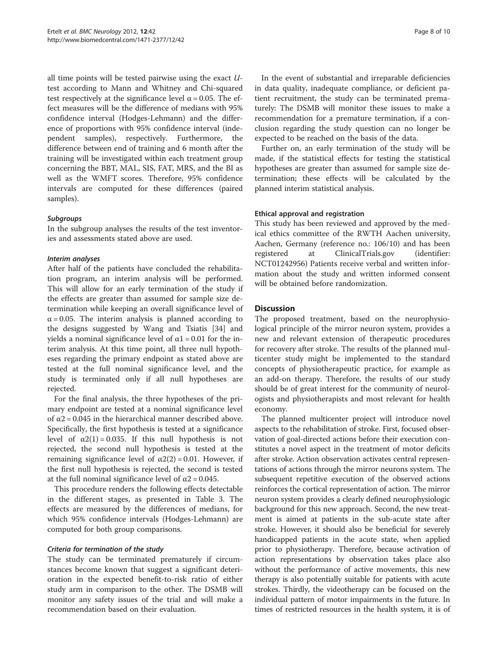all time points will be tested pairwise using the exact Utest according to Mann and Whitney and Chi-squared test respectively at the significance level  $\alpha$  = 0.05. The effect measures will be the difference of medians with 95% confidence interval (Hodges-Lehmann) and the difference of proportions with 95% confidence interval (independent samples), respectively. Furthermore, the difference between end of training and 6 month after the training will be investigated within each treatment group concerning the BBT, MAL, SIS, FAT, MRS, and the BI as well as the WMFT scores. Therefore, 95% confidence intervals are computed for these differences (paired samples).

#### Subgroups

In the subgroup analyses the results of the test inventories and assessments stated above are used.

## Interim analyses

After half of the patients have concluded the rehabilitation program, an interim analysis will be performed. This will allow for an early termination of the study if the effects are greater than assumed for sample size determination while keeping an overall significance level of  $\alpha$  = 0.05. The interim analysis is planned according to the designs suggested by Wang and Tsiatis [[34\]](#page-9-0) and yields a nominal significance level of  $\alpha$ 1 = 0.01 for the interim analysis. At this time point, all three null hypotheses regarding the primary endpoint as stated above are tested at the full nominal significance level, and the study is terminated only if all null hypotheses are rejected.

For the final analysis, the three hypotheses of the primary endpoint are tested at a nominal significance level of α2 = 0.045 in the hierarchical manner described above. Specifically, the first hypothesis is tested at a significance level of  $\alpha$ 2(1) = 0.035. If this null hypothesis is not rejected, the second null hypothesis is tested at the remaining significance level of  $\alpha$ 2(2) = 0.01. However, if the first null hypothesis is rejected, the second is tested at the full nominal significance level of  $\alpha$ 2 = 0.045.

This procedure renders the following effects detectable in the different stages, as presented in Table [3.](#page-6-0) The effects are measured by the differences of medians, for which 95% confidence intervals (Hodges-Lehmann) are computed for both group comparisons.

#### Criteria for termination of the study

The study can be terminated prematurely if circumstances become known that suggest a significant deterioration in the expected benefit-to-risk ratio of either study arm in comparison to the other. The DSMB will monitor any safety issues of the trial and will make a recommendation based on their evaluation.

In the event of substantial and irreparable deficiencies in data quality, inadequate compliance, or deficient patient recruitment, the study can be terminated prematurely: The DSMB will monitor these issues to make a recommendation for a premature termination, if a conclusion regarding the study question can no longer be expected to be reached on the basis of the data.

Further on, an early termination of the study will be made, if the statistical effects for testing the statistical hypotheses are greater than assumed for sample size determination; these effects will be calculated by the planned interim statistical analysis.

## Ethical approval and registration

This study has been reviewed and approved by the medical ethics committee of the RWTH Aachen university, Aachen, Germany (reference no.: 106/10) and has been registered at ClinicalTrials.gov (identifier: NCT01242956) Patients receive verbal and written information about the study and written informed consent will be obtained before randomization.

## **Discussion**

The proposed treatment, based on the neurophysiological principle of the mirror neuron system, provides a new and relevant extension of therapeutic procedures for recovery after stroke. The results of the planned multicenter study might be implemented to the standard concepts of physiotherapeutic practice, for example as an add-on therapy. Therefore, the results of our study should be of great interest for the community of neurologists and physiotherapists and most relevant for health economy.

The planned multicenter project will introduce novel aspects to the rehabilitation of stroke. First, focused observation of goal-directed actions before their execution constitutes a novel aspect in the treatment of motor deficits after stroke. Action observation activates central representations of actions through the mirror neurons system. The subsequent repetitive execution of the observed actions reinforces the cortical representation of action. The mirror neuron system provides a clearly defined neurophysiologic background for this new approach. Second, the new treatment is aimed at patients in the sub-acute state after stroke. However, it should also be beneficial for severely handicapped patients in the acute state, when applied prior to physiotherapy. Therefore, because activation of action representations by observation takes place also without the performance of active movements, this new therapy is also potentially suitable for patients with acute strokes. Thirdly, the videotherapy can be focused on the individual pattern of motor impairments in the future. In times of restricted resources in the health system, it is of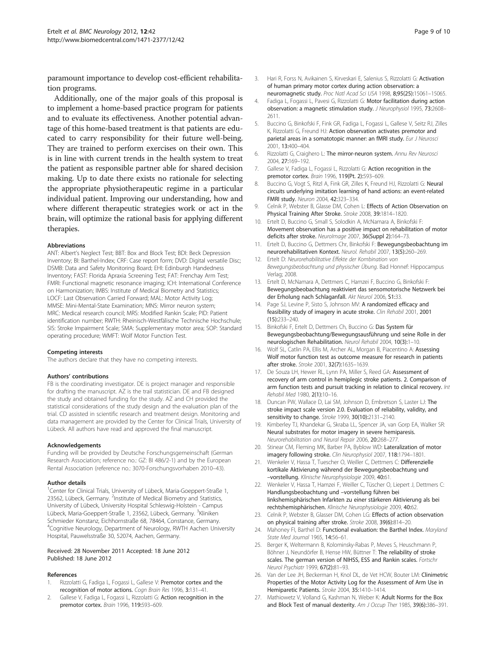<span id="page-8-0"></span>paramount importance to develop cost-efficient rehabilitation programs.

Additionally, one of the major goals of this proposal is to implement a home-based practice program for patients and to evaluate its effectiveness. Another potential advantage of this home-based treatment is that patients are educated to carry responsibility for their future well-being. They are trained to perform exercises on their own. This is in line with current trends in the health system to treat the patient as responsible partner able for shared decision making. Up to date there exists no rationale for selecting the appropriate physiotherapeutic regime in a particular individual patient. Improving our understanding, how and where different therapeutic strategies work or act in the brain, will optimize the rational basis for applying different therapies.

#### Abbreviations

ANT: Albert's Neglect Test; BBT: Box and Block Test; BDI: Beck Depression Inventory; BI: Barthel-Index; CRF: Case report form; DVD: Digital versatile Disc; DSMB: Data and Safety Monitoring Board; EHI: Edinburgh Handedness Inventory; FAST: Florida Apraxia Screening Test; FAT: Frenchay Arm Test; FMRI: Functional magnetic resonance imaging; ICH: International Conference on Harmonization; IMBS: Institute of Medical Biometry and Statistics; LOCF: Last Observation Carried Forward; MAL: Motor Activity Log; MMSE: Mini-Mental-State Examination; MNS: Mirror neuron system; MRC: Medical research council; MRS: Modified Rankin Scale; PID: Patient identification number; RWTH: Rheinisch-Westfälische Technische Hochschule; SIS: Stroke Impairment Scale; SMA: Supplementary motor area; SOP: Standard operating procedure; WMFT: Wolf Motor Function Test.

#### Competing interests

The authors declare that they have no competing interests.

#### Authors' contributions

FB is the coordinating investigator. DE is project manager and responsible for drafting the manuscript. AZ is the trail statistician. DE and FB designed the study and obtained funding for the study. AZ and CH provided the statistical considerations of the study design and the evaluation plan of the trial. CD assisted in scientific research and treatment design. Monitoring and data management are provided by the Center for Clinical Trials, University of Lübeck. All authors have read and approved the final manuscript.

#### Acknowledgements

Funding will be provided by Deutsche Forschungsgemeinschaft (German Research Association; reference no.: GZ: BI 486/2-1) and by the European Rental Association (reference no.: 3070-Forschungsvorhaben 2010–43).

#### Author details

<sup>1</sup>Center for Clinical Trials, University of Lübeck, Maria-Goeppert-Straße 1, 23562, Lübeck, Germany. <sup>2</sup>Institute of Medical Biometry and Statistics, University of Lübeck, University Hospital Schleswig-Holstein - Campus Lübeck, Maria-Goeppert-Straße 1, 23562, Lübeck, Germany. <sup>3</sup>Kliniken Schmieder Konstanz, Eichhornstraße 68, 78464, Constance, Germany. 4 Cognitive Neurology, Department of Neurology, RWTH Aachen University Hospital, Pauwelsstraße 30, 52074, Aachen, Germany.

#### Received: 28 November 2011 Accepted: 18 June 2012 Published: 18 June 2012

#### References

- Rizzolatti G, Fadiga L, Fogassi L, Gallese V: Premotor cortex and the recognition of motor actions. Cogn Brain Res 1996, 3:131–41.
- 2. Gallese V, Fadiga L, Fogassi L, Rizzolatti G: Action recognition in the premotor cortex. Brain 1996, 119:593–609.
- 3. Hari R, Forss N, Avikainen S, Kirveskari E, Salenius S, Rizzolatti G: Activation of human primary motor cortex during action observation: a neuromagnetic study. Proc Natl Acad Sci USA 1998, 8;95(25):15061–15065.
- 4. Fadiga L, Fogassi L, Pavesi G, Rizzolatti G: Motor facilitation during action observation: a magnetic stimulation study. J Neurophysiol 1995, 73:2608– 2611.
- 5. Buccino G, Binkofski F, Fink GR, Fadiga L, Fogassi L, Gallese V, Seitz RJ, Zilles K, Rizzolatti G, Freund HJ: Action observation activates premotor and parietal areas in a somatotopic manner: an fMRI study. Eur J Neurosci 2001, 13:400–404.
- Rizzolatti G, Craighero L: The mirror-neuron system. Annu Rev Neurosci 2004, 27:169–192.
- 7. Gallese V, Fadiga L, Fogassi L, Rizzolatti G: Action recognition in the premotor cortex. Brain 1996, 119(Pt. 2):593–609.
- 8. Buccino G, Vogt S, Ritzl A, Fink GR, Zilles K, Freund HJ, Rizzolatti G: Neural circuits underlying imitation learning of hand actions: an event-related FMRI study. Neuron 2004, 42:323–334.
- 9. Celnik P, Webster B, Glasse DM, Cohen L: Effects of Action Observation on Physical Training After Stroke. Stroke 2008, 39:1814–1820.
- 10. Ertelt D, Buccino G, Small S, Solodkin A, McNamara A, Binkofski F: Movement observation has a positive impact on rehabilitation of motor deficits after stroke. NeuroImage 2007, 36(Suppl 2):164-73.
- 11. Ertelt D, Buccino G, Dettmers Chr, Binkofski F: Bewegungsbeobachtung im neurorehabilitativen Kontext. Neurol. Rehabil 2007, 13(5):260-269.
- 12. Ertelt D: Neurorehabilitative Effekte der Kombination von Bewegungsbeobachtung und physischer Übung. Bad Honnef: Hippocampus Verlag; 2008.
- 13. Ertelt D, McNamara A, Dettmers C, Hamzei F, Buccino G, Binkofski F: Bewegungsbeobachtung reaktiviert das sensomotorische Netzwerk bei der Erholung nach Schlaganfall. Akt Neurol 2006, S1:33.
- 14. Page SJ, Levine P, Sisto S, Johnson MV: A randomized efficacy and feasibility study of imagery in acute stroke. Clin Rehabil 2001, 2001 (15):233–240.
- 15. Binkofski F, Ertelt D, Dettmers Ch, Buccino G: Das System für Bewegungsbeobachtung/Bewegungsausführung und seine Rolle in der neurologischen Rehabilitation. Neurol Rehabil 2004, 10(3):1–10.
- 16. Wolf SL, Catlin PA, Ellis M, Archer AL, Morgan B, Piacentino A: Assessing Wolf motor function test as outcome measure for research in patients after stroke. Stroke 2001, 32(7):1635–1639.
- 17. De Souza LH, Hewer RL, Lynn PA, Miller S, Reed GA: Assessment of recovery of arm control in hemiplegic stroke patients. 2. Comparison of arm function tests and pursuit tracking in relation to clinical recovery. Int Rehabil Med 1980, 2(1):10–16.
- 18. Duncan PW, Wallace D, Lai SM, Johnson D, Embretson S, Laster LJ: The stroke impact scale version 2.0. Evaluation of reliability, validity, and sensitivity to change. Stroke 1999, 30(10):2131–2140.
- 19. Kimberley TJ, Khandekar G, Skraba LL, Spencer JA, van Gorp EA, Walker SR: Neural substrates for motor imagery in severe hemiparesis. Neurorehabilitation and Neural Repair 2006, 20:268–277.
- 20. Stinear CM, Fleming MK, Barber PA, Byblow WD: Lateralization of motor imagery following stroke. Clin Neurophysiol 2007, 118:1794-1801
- 21. Wenkeler V, Hassa T, Tuescher O, Weiller C, Dettmers C: Differenzielle kortikale Aktivierung während der Bewegungsbeobachtung und –vorstellung. Klinische Neurophysiologie 2009, 40:61.
- 22. Wenkeler V, Hassa T, Hamzei F, Weiller C, Tüscher O, Liepert J, Dettmers C: Handlungsbeobachtung und –vorstellung führen bei linkshemisphärischen Infarkten zu einer stärkeren Aktivierung als bei rechtshemisphärischen. Klinische Neurophysiologie 2009, 40:62.
- 23. Celnik P, Webster B, Glasser DM, Cohen LG: Effects of action observation on physical training after stroke. Stroke 2008, 39(6):814–20.
- 24. Mahoney FI, Barthel D: Functional evaluation: the Barthel Index. Maryland State Med Journal 1965, 14:56–61.
- 25. Berger K, Weltermann B, Kolominsky-Rabas P, Meves S, Heuschmann P, Böhner J, Neundörfer B, Hense HW, Büttner T: The reliability of stroke scales. The german version of NIHSS, ESS and Rankin scales. Fortschr Neurol Psychiatr 1999, 67(2):81–93.
- 26. Van der Lee JH, Beckerman H, Knol DL, de Vet HCW, Bouter LM: Clinimetric Properties of the Motor Activity Log for the Assessment of Arm Use in Hemiparetic Patients. Stroke 2004, 35:1410–1414.
- 27. Mathiowetz V, Volland G, Kashman N, Weber K: Adult Norms for the Box and Block Test of manual dexterity. Am J Occup Ther 1985, 39(6):386-391.